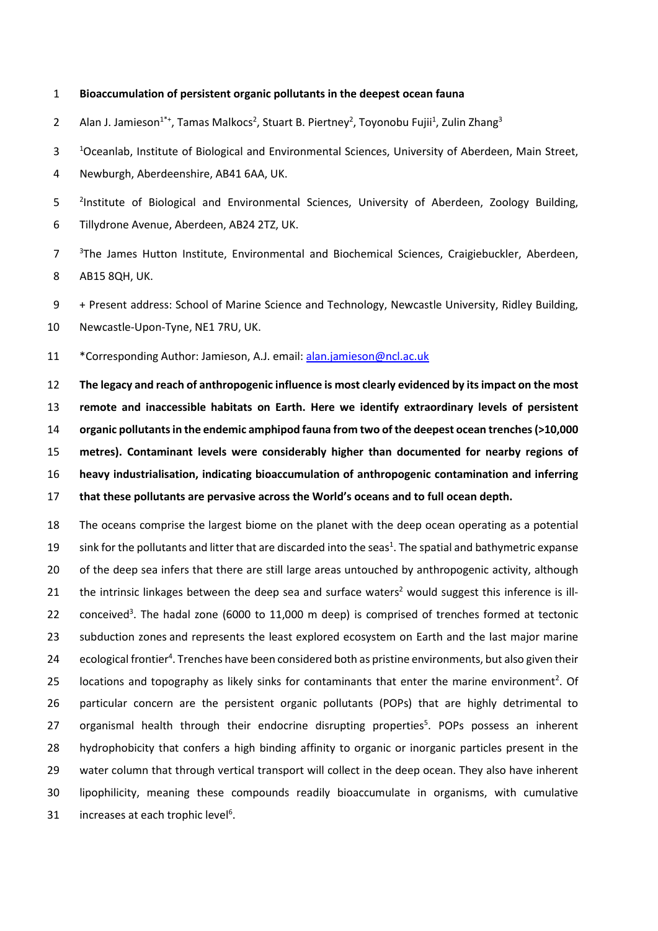## **Bioaccumulation of persistent organic pollutants in the deepest ocean fauna**

2 Alan J. Jamieson<sup>1\*+</sup>, Tamas Malkocs<sup>2</sup>, Stuart B. Piertney<sup>2</sup>, Toyonobu Fujii<sup>1</sup>, Zulin Zhang<sup>3</sup>

<sup>1</sup> Oceanlab, Institute of Biological and Environmental Sciences, University of Aberdeen, Main Street,

Newburgh, Aberdeenshire, AB41 6AA, UK.

5 <sup>2</sup>Institute of Biological and Environmental Sciences, University of Aberdeen, Zoology Building, Tillydrone Avenue, Aberdeen, AB24 2TZ, UK.

<sup>3</sup> The James Hutton Institute, Environmental and Biochemical Sciences, Craigiebuckler, Aberdeen, AB15 8QH, UK.

+ Present address: School of Marine Science and Technology, Newcastle University, Ridley Building,

Newcastle-Upon-Tyne, NE1 7RU, UK.

\*Corresponding Author: Jamieson, A.J. email: [alan.jamieson@ncl.ac.uk](mailto:alan.jamieson@ncl.ac.uk)

 **The legacy and reach of anthropogenic influence is most clearly evidenced by its impact on the most remote and inaccessible habitats on Earth. Here we identify extraordinary levels of persistent organic pollutants in the endemic amphipod fauna from two ofthe deepest ocean trenches(>10,000 metres). Contaminant levels were considerably higher than documented for nearby regions of heavy industrialisation, indicating bioaccumulation of anthropogenic contamination and inferring that these pollutants are pervasive across the World's oceans and to full ocean depth.**

 The oceans comprise the largest biome on the planet with the deep ocean operating as a potential 19 sink for the pollutants and litter that are discarded into the seas<sup>1</sup>. The spatial and bathymetric expanse of the deep sea infers that there are still large areas untouched by anthropogenic activity, although 21 the intrinsic linkages between the deep sea and surface waters<sup>2</sup> would suggest this inference is ill-22  $\degree$  conceived<sup>3</sup>. The hadal zone (6000 to 11,000 m deep) is comprised of trenches formed at tectonic 23 subduction zones and represents the least explored ecosystem on Earth and the last major marine 24 ecological frontier<sup>4</sup>. Trenches have been considered both as pristine environments, but also given their 25 locations and topography as likely sinks for contaminants that enter the marine environment<sup>2</sup>. Of particular concern are the persistent organic pollutants (POPs) that are highly detrimental to 27 organismal health through their endocrine disrupting properties<sup>5</sup>. POPs possess an inherent hydrophobicity that confers a high binding affinity to organic or inorganic particles present in the water column that through vertical transport will collect in the deep ocean. They also have inherent lipophilicity, meaning these compounds readily bioaccumulate in organisms, with cumulative 31 increases at each trophic level<sup>6</sup>.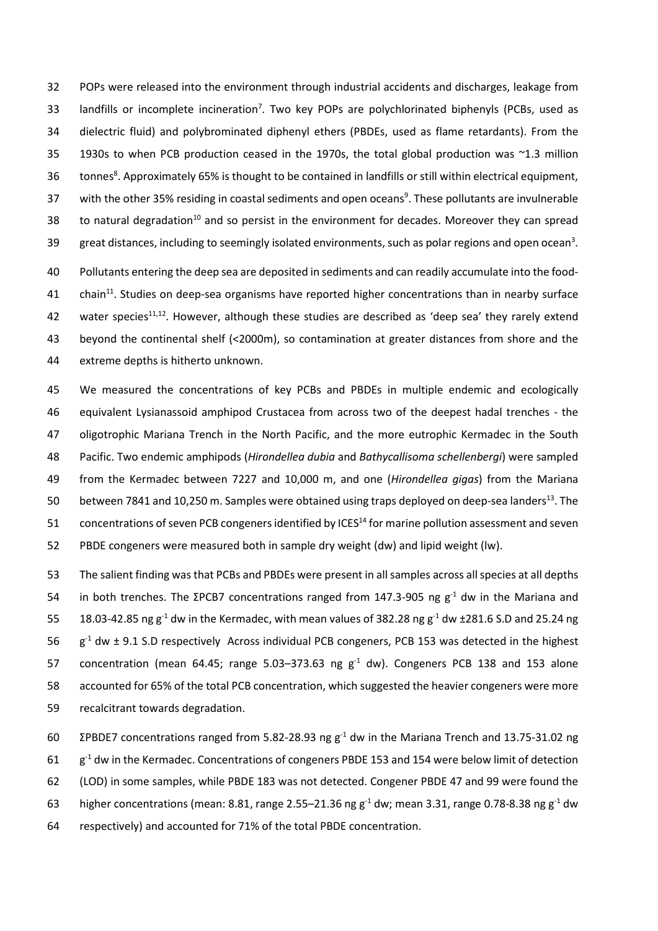32 POPs were released into the environment through industrial accidents and discharges, leakage from 33 landfills or incomplete incineration<sup>7</sup>. Two key POPs are polychlorinated biphenyls (PCBs, used as 34 dielectric fluid) and polybrominated diphenyl ethers (PBDEs, used as flame retardants). From the 35 1930s to when PCB production ceased in the 1970s, the total global production was ~1.3 million 36 tonnes<sup>8</sup>. Approximately 65% is thought to be contained in landfills or still within electrical equipment, 37 with the other 35% residing in coastal sediments and open oceans<sup>9</sup>. These pollutants are invulnerable 38 to natural degradation<sup>10</sup> and so persist in the environment for decades. Moreover they can spread great distances, including to seemingly isolated environments, such as polar regions and open ocean<sup>3</sup>.

40 Pollutants entering the deep sea are deposited in sediments and can readily accumulate into the food-41 chain<sup>11</sup>. Studies on deep-sea organisms have reported higher concentrations than in nearby surface 42 water species<sup>11,12</sup>. However, although these studies are described as 'deep sea' they rarely extend 43 beyond the continental shelf (<2000m), so contamination at greater distances from shore and the 44 extreme depths is hitherto unknown.

 We measured the concentrations of key PCBs and PBDEs in multiple endemic and ecologically equivalent Lysianassoid amphipod Crustacea from across two of the deepest hadal trenches - the oligotrophic Mariana Trench in the North Pacific, and the more eutrophic Kermadec in the South Pacific. Two endemic amphipods (*Hirondellea dubia* and *Bathycallisoma schellenbergi*) were sampled from the Kermadec between 7227 and 10,000 m, and one (*Hirondellea gigas*) from the Mariana 50 between 7841 and 10,250 m. Samples were obtained using traps deployed on deep-sea landers<sup>13</sup>. The 51 concentrations of seven PCB congeners identified by ICES<sup>14</sup> for marine pollution assessment and seven PBDE congeners were measured both in sample dry weight (dw) and lipid weight (lw).

53 The salient finding was that PCBs and PBDEs were present in all samples across all species at all depths 54 in both trenches. The ΣPCB7 concentrations ranged from 147.3-905 ng  $g<sup>-1</sup>$  dw in the Mariana and 55 18.03-42.85 ng  $g^{-1}$  dw in the Kermadec, with mean values of 382.28 ng  $g^{-1}$  dw  $\pm$ 281.6 S.D and 25.24 ng 56  $g^{-1}$  dw  $\pm$  9.1 S.D respectively Across individual PCB congeners, PCB 153 was detected in the highest 57 concentration (mean 64.45; range 5.03–373.63 ng  $g<sup>-1</sup>$  dw). Congeners PCB 138 and 153 alone 58 accounted for 65% of the total PCB concentration, which suggested the heavier congeners were more 59 recalcitrant towards degradation.

 ΣPBDE7 concentrations ranged from 5.82-28.93 ng g<sup>-1</sup> dw in the Mariana Trench and 13.75-31.02 ng g<sup>-1</sup> dw in the Kermadec. Concentrations of congeners PBDE 153 and 154 were below limit of detection (LOD) in some samples, while PBDE 183 was not detected. Congener PBDE 47 and 99 were found the 63 higher concentrations (mean: 8.81, range 2.55–21.36 ng  $g^{-1}$  dw; mean 3.31, range 0.78-8.38 ng  $g^{-1}$  dw respectively) and accounted for 71% of the total PBDE concentration.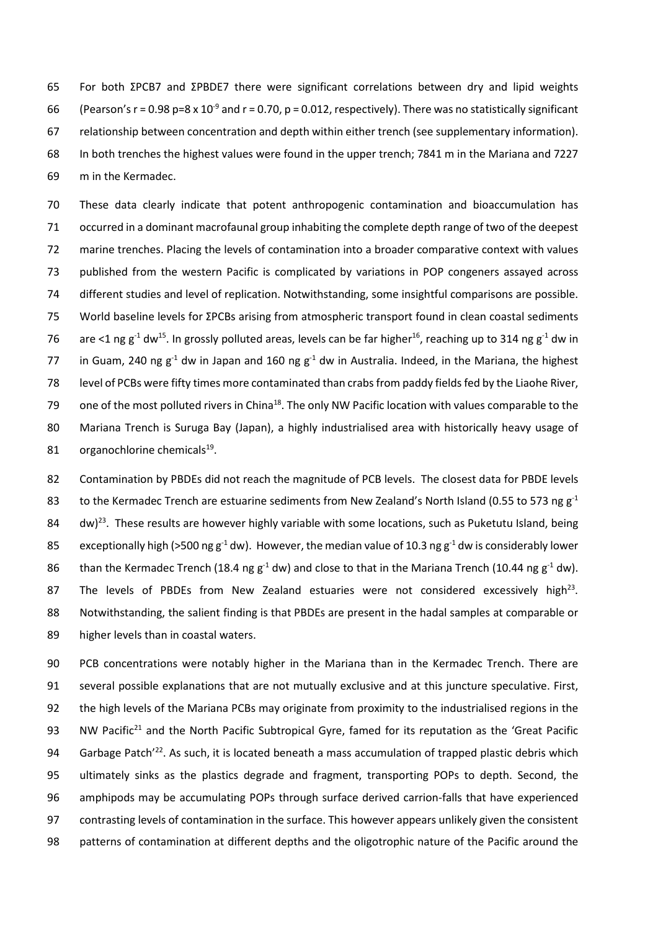For both ΣPCB7 and ΣPBDE7 there were significant correlations between dry and lipid weights 66 (Pearson's r = 0.98 p=8 x 10<sup>-9</sup> and r = 0.70, p = 0.012, respectively). There was no statistically significant relationship between concentration and depth within either trench (see supplementary information). In both trenches the highest values were found in the upper trench; 7841 m in the Mariana and 7227 m in the Kermadec.

 These data clearly indicate that potent anthropogenic contamination and bioaccumulation has occurred in a dominant macrofaunal group inhabiting the complete depth range of two of the deepest marine trenches. Placing the levels of contamination into a broader comparative context with values published from the western Pacific is complicated by variations in POP congeners assayed across different studies and level of replication. Notwithstanding, some insightful comparisons are possible. World baseline levels for ΣPCBs arising from atmospheric transport found in clean coastal sediments 76 are <1 ng g<sup>-1</sup> dw<sup>15</sup>. In grossly polluted areas, levels can be far higher<sup>16</sup>, reaching up to 314 ng g<sup>-1</sup> dw in 77 in Guam, 240 ng  $g^{-1}$  dw in Japan and 160 ng  $g^{-1}$  dw in Australia. Indeed, in the Mariana, the highest level of PCBs were fifty times more contaminated than crabs from paddy fields fed by the Liaohe River, one of the most polluted rivers in China<sup>18</sup>. The only NW Pacific location with values comparable to the Mariana Trench is Suruga Bay (Japan), a highly industrialised area with historically heavy usage of 81 organochlorine chemicals.

 Contamination by PBDEs did not reach the magnitude of PCB levels. The closest data for PBDE levels 83 to the Kermadec Trench are estuarine sediments from New Zealand's North Island (0.55 to 573 ng  $g<sup>-1</sup>$ 84  $\,$  dw)<sup>23</sup>. These results are however highly variable with some locations, such as Puketutu Island, being 85 exceptionally high (>500 ng g<sup>-1</sup> dw). However, the median value of 10.3 ng g<sup>-1</sup> dw is considerably lower 86 than the Kermadec Trench (18.4 ng  $g^{-1}$  dw) and close to that in the Mariana Trench (10.44 ng  $g^{-1}$  dw). 87 The levels of PBDEs from New Zealand estuaries were not considered excessively high<sup>23</sup>. Notwithstanding, the salient finding is that PBDEs are present in the hadal samples at comparable or higher levels than in coastal waters.

 PCB concentrations were notably higher in the Mariana than in the Kermadec Trench. There are several possible explanations that are not mutually exclusive and at this juncture speculative. First, the high levels of the Mariana PCBs may originate from proximity to the industrialised regions in the 93 NW Pacific<sup>21</sup> and the North Pacific Subtropical Gyre, famed for its reputation as the 'Great Pacific 94 Garbage Patch<sup>'22</sup>. As such, it is located beneath a mass accumulation of trapped plastic debris which ultimately sinks as the plastics degrade and fragment, transporting POPs to depth. Second, the amphipods may be accumulating POPs through surface derived carrion-falls that have experienced contrasting levels of contamination in the surface. This however appears unlikely given the consistent patterns of contamination at different depths and the oligotrophic nature of the Pacific around the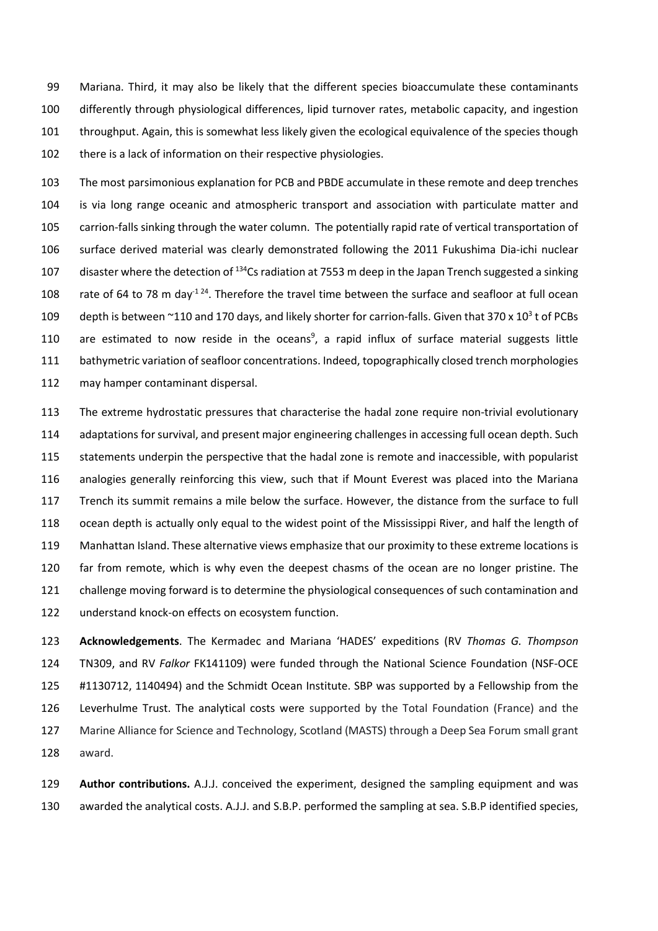Mariana. Third, it may also be likely that the different species bioaccumulate these contaminants differently through physiological differences, lipid turnover rates, metabolic capacity, and ingestion throughput. Again, this is somewhat less likely given the ecological equivalence of the species though 102 there is a lack of information on their respective physiologies.

 The most parsimonious explanation for PCB and PBDE accumulate in these remote and deep trenches is via long range oceanic and atmospheric transport and association with particulate matter and carrion-falls sinking through the water column. The potentially rapid rate of vertical transportation of surface derived material was clearly demonstrated following the 2011 Fukushima Dia-ichi nuclear 107 disaster where the detection of <sup>134</sup>Cs radiation at 7553 m deep in the Japan Trench suggested a sinking 108 rate of 64 to 78 m day<sup>-1 24</sup>. Therefore the travel time between the surface and seafloor at full ocean 109 depth is between ~110 and 170 days, and likely shorter for carrion-falls. Given that  $370 \times 10^3$  t of PCBs 110 are estimated to now reside in the oceans<sup>9</sup>, a rapid influx of surface material suggests little bathymetric variation of seafloor concentrations. Indeed, topographically closed trench morphologies may hamper contaminant dispersal.

 The extreme hydrostatic pressures that characterise the hadal zone require non-trivial evolutionary 114 adaptations for survival, and present major engineering challenges in accessing full ocean depth. Such statements underpin the perspective that the hadal zone is remote and inaccessible, with popularist analogies generally reinforcing this view, such that if Mount Everest was placed into the Mariana Trench its summit remains a mile below the surface. However, the distance from the surface to full ocean depth is actually only equal to the widest point of the Mississippi River, and half the length of Manhattan Island. These alternative views emphasize that our proximity to these extreme locations is far from remote, which is why even the deepest chasms of the ocean are no longer pristine. The challenge moving forward is to determine the physiological consequences of such contamination and understand knock-on effects on ecosystem function.

 **Acknowledgements**. The Kermadec and Mariana 'HADES' expeditions (RV *Thomas G. Thompson* TN309, and RV *Falkor* FK141109) were funded through the National Science Foundation (NSF-OCE #1130712, 1140494) and the Schmidt Ocean Institute. SBP was supported by a Fellowship from the Leverhulme Trust. The analytical costs were supported by the Total Foundation (France) and the Marine Alliance for Science and Technology, Scotland (MASTS) through a Deep Sea Forum small grant award.

 **Author contributions.** A.J.J. conceived the experiment, designed the sampling equipment and was awarded the analytical costs. A.J.J. and S.B.P. performed the sampling at sea. S.B.P identified species,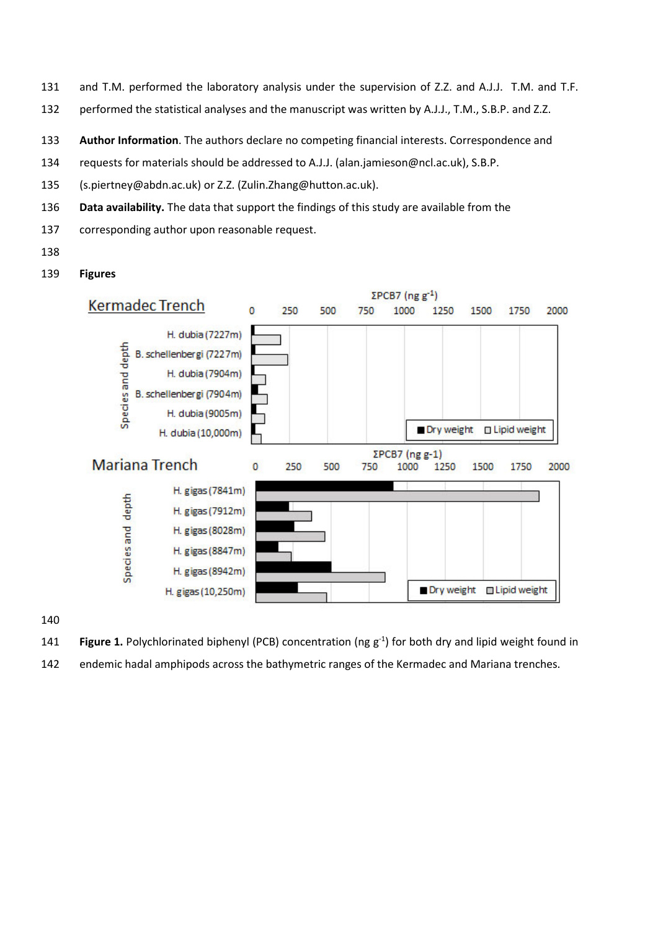- and T.M. performed the laboratory analysis under the supervision of Z.Z. and A.J.J. T.M. and T.F.
- performed the statistical analyses and the manuscript was written by A.J.J., T.M., S.B.P. and Z.Z.
- **Author Information**. The authors declare no competing financial interests. Correspondence and
- requests for materials should be addressed to A.J.J. (alan.jamieson@ncl.ac.uk), S.B.P.
- (s.piertney@abdn.ac.uk) or Z.Z. (Zulin.Zhang@hutton.ac.uk).
- **Data availability.** The data that support the findings of this study are available from the
- corresponding author upon reasonable request.
- 
- **Figures**



- 141 **Figure 1.** Polychlorinated biphenyl (PCB) concentration (ng g<sup>-1</sup>) for both dry and lipid weight found in
- endemic hadal amphipods across the bathymetric ranges of the Kermadec and Mariana trenches.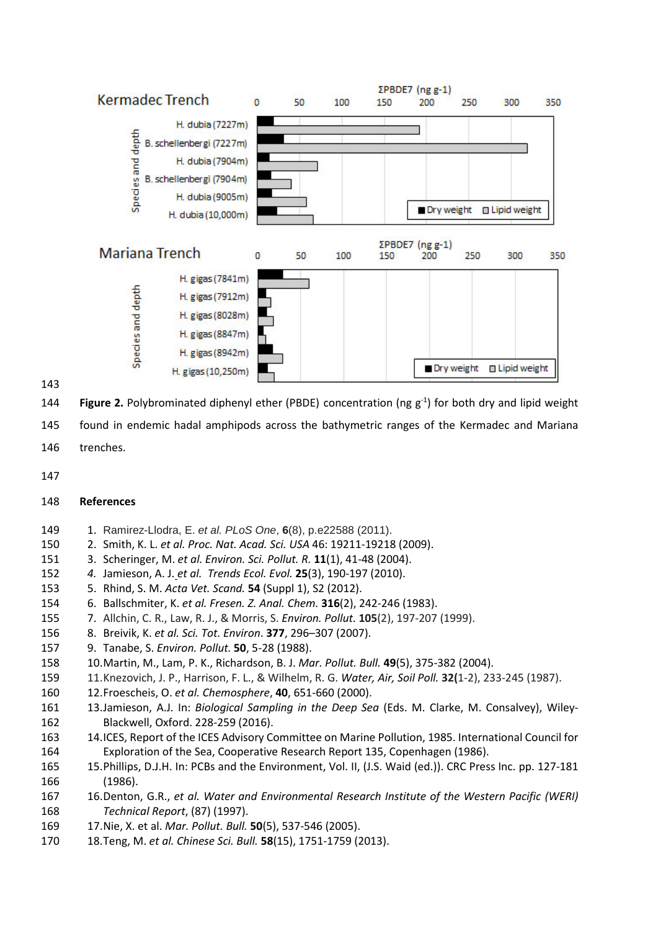

**Figure 2.** Polybrominated diphenyl ether (PBDE) concentration (ng g<sup>-1</sup>) for both dry and lipid weight

found in endemic hadal amphipods across the bathymetric ranges of the Kermadec and Mariana

- trenches.
- 

## **References**

- 1. Ramirez-Llodra, E. *et al. PLoS One*, **6**(8), p.e22588 (2011).
- 2. Smith, K. L. *et al. Proc. Nat. Acad. Sci. USA* 46: 19211-19218 (2009).
- 3. Scheringer, M. *et al. Environ. Sci. Pollut. R.* **11**(1), 41-48 (2004).
- *4.* Jamieson, A. J. *et al. Trends Ecol. Evol.* **25**(3), 190-197 (2010).
- 5. Rhind, S. M. *Acta Vet. Scand.* **54** (Suppl 1), S2 (2012).
- 6. Ballschmiter, K. *et al. Fresen. Z. Anal. Chem.* **316**(2), 242-246 (1983).
- 7. Allchin, C. R., Law, R. J., & Morris, S. *Environ. Pollut.* **105**(2), 197-207 (1999).
- 8. Breivik, K. *et al. Sci. Tot. Environ*. **377**, 296–307 (2007).
- 9. Tanabe, S. *Environ. Pollut.* **50**, 5-28 (1988).
- 10.Martin, M., Lam, P. K., Richardson, B. J. *Mar. Pollut. Bull.* **49**(5), 375-382 (2004).
- 11.Knezovich, J. P., Harrison, F. L., & Wilhelm, R. G. *Water, Air, Soil Poll.* **32(**1-2), 233-245 (1987).
- 12.Froescheis, O. *et al. Chemosphere*, **40**, 651-660 (2000).
- 13.Jamieson, A.J. In: *Biological Sampling in the Deep Sea* (Eds. M. Clarke, M. Consalvey), Wiley-Blackwell, Oxford. 228-259 (2016).
- 14.ICES, Report of the ICES Advisory Committee on Marine Pollution, 1985. International Council for Exploration of the Sea, Cooperative Research Report 135, Copenhagen (1986).
- 15.Phillips, D.J.H. In: PCBs and the Environment, Vol. II, (J.S. Waid (ed.)). CRC Press Inc. pp. 127-181 (1986).
- 16.Denton, G.R., *et al. Water and Environmental Research Institute of the Western Pacific (WERI) Technical Report*, (87) (1997).
- 17.Nie, X. et al. *Mar. Pollut. Bull.* **50**(5), 537-546 (2005).
- 18.Teng, M. *et al. Chinese Sci. Bull.* **58**(15), 1751-1759 (2013).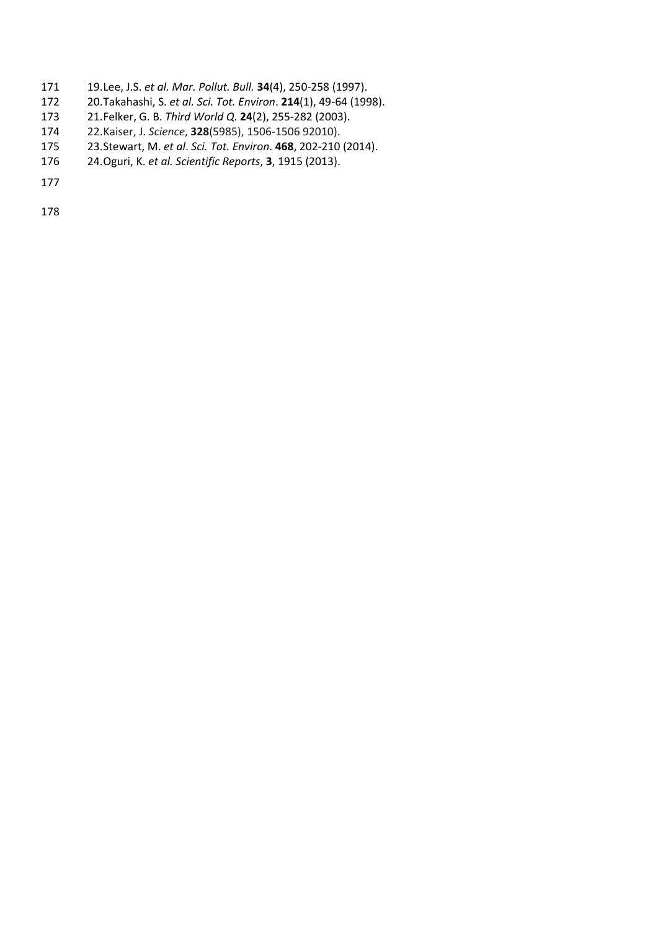- 19.Lee, J.S. *et al. Mar. Pollut. Bull.* **34**(4), 250-258 (1997).
- 20.Takahashi, S. *et al. Sci. Tot. Environ*. **214**(1), 49-64 (1998).
- 21.Felker, G. B. *Third World Q.* **24**(2), 255-282 (2003).
- 22.Kaiser, J. *Science*, **328**(5985), 1506-1506 92010).
- 23.Stewart, M. *et al*. *Sci. Tot. Environ*. **468**, 202-210 (2014).
- 24.Oguri, K. *et al. Scientific Reports*, **3**, 1915 (2013).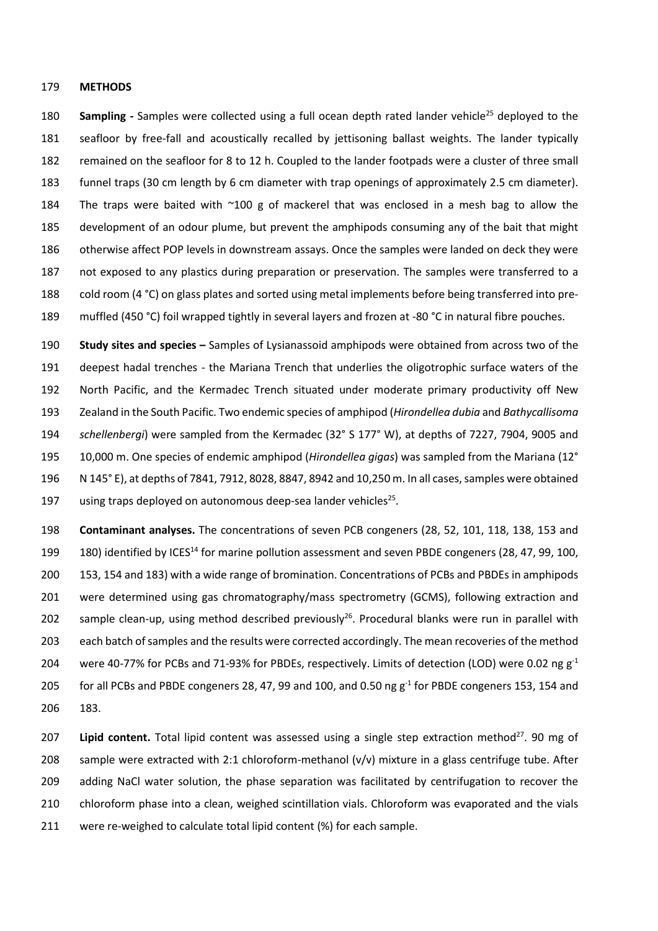## **METHODS**

**Sampling -** Samples were collected using a full ocean depth rated lander vehicle<sup>25</sup> deployed to the seafloor by free-fall and acoustically recalled by jettisoning ballast weights. The lander typically remained on the seafloor for 8 to 12 h. Coupled to the lander footpads were a cluster of three small funnel traps (30 cm length by 6 cm diameter with trap openings of approximately 2.5 cm diameter). 184 The traps were baited with  $\sim$ 100 g of mackerel that was enclosed in a mesh bag to allow the development of an odour plume, but prevent the amphipods consuming any of the bait that might otherwise affect POP levels in downstream assays. Once the samples were landed on deck they were not exposed to any plastics during preparation or preservation. The samples were transferred to a cold room (4 °C) on glass plates and sorted using metal implements before being transferred into pre-muffled (450 °C) foil wrapped tightly in several layers and frozen at -80 °C in natural fibre pouches.

 **Study sites and species –** Samples of Lysianassoid amphipods were obtained from across two of the deepest hadal trenches - the Mariana Trench that underlies the oligotrophic surface waters of the North Pacific, and the Kermadec Trench situated under moderate primary productivity off New Zealand in the South Pacific. Two endemic species of amphipod (*Hirondellea dubia* and *Bathycallisoma schellenbergi*) were sampled from the Kermadec (32° S 177° W), at depths of 7227, 7904, 9005 and 10,000 m. One species of endemic amphipod (*Hirondellea gigas*) was sampled from the Mariana (12° N 145° E), at depths of 7841, 7912, 8028, 8847, 8942 and 10,250 m. In all cases, samples were obtained 197 using traps deployed on autonomous deep-sea lander vehicles<sup>25</sup>.

 **Contaminant analyses.** The concentrations of seven PCB congeners (28, 52, 101, 118, 138, 153 and 199 180) identified by ICES<sup>14</sup> for marine pollution assessment and seven PBDE congeners (28, 47, 99, 100, 153, 154 and 183) with a wide range of bromination. Concentrations of PCBs and PBDEs in amphipods were determined using gas chromatography/mass spectrometry (GCMS), following extraction and 202 sample clean-up, using method described previously<sup>26</sup>. Procedural blanks were run in parallel with each batch of samples and the results were corrected accordingly. The mean recoveries of the method 204 were 40-77% for PCBs and 71-93% for PBDEs, respectively. Limits of detection (LOD) were 0.02 ng  $g^{-1}$ 205 for all PCBs and PBDE congeners 28, 47, 99 and 100, and 0.50 ng  $g^{-1}$  for PBDE congeners 153, 154 and 183.

**Lipid content.** Total lipid content was assessed using a single step extraction method<sup>27</sup>. 90 mg of sample were extracted with 2:1 chloroform-methanol (v/v) mixture in a glass centrifuge tube. After adding NaCl water solution, the phase separation was facilitated by centrifugation to recover the chloroform phase into a clean, weighed scintillation vials. Chloroform was evaporated and the vials were re-weighed to calculate total lipid content (%) for each sample.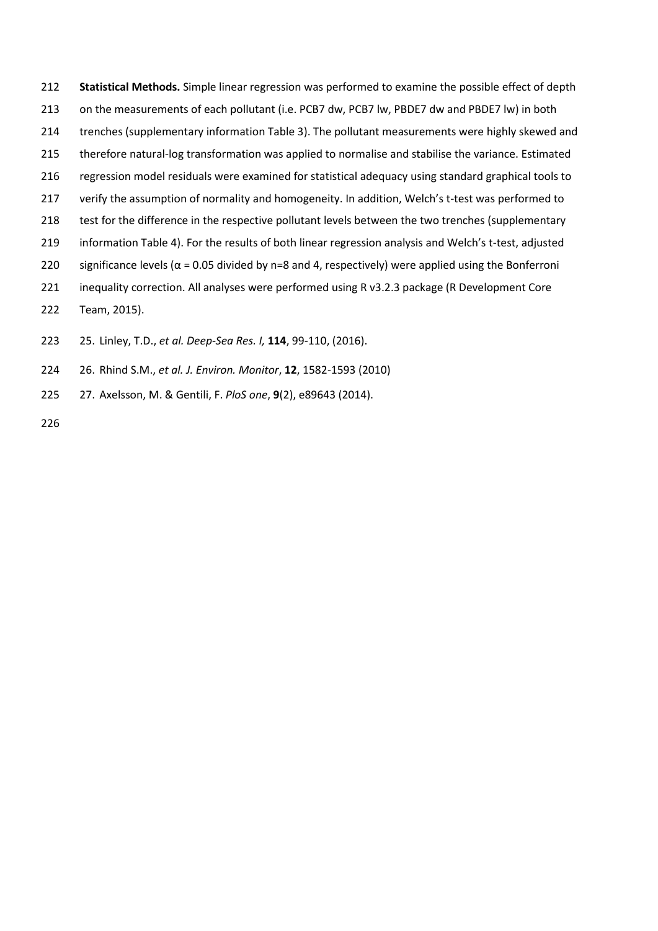213 on the measurements of each pollutant (i.e. PCB7 dw, PCB7 lw, PBDE7 dw and PBDE7 lw) in both trenches (supplementary information Table 3). The pollutant measurements were highly skewed and therefore natural-log transformation was applied to normalise and stabilise the variance. Estimated regression model residuals were examined for statistical adequacy using standard graphical tools to 217 verify the assumption of normality and homogeneity. In addition, Welch's t-test was performed to 218 test for the difference in the respective pollutant levels between the two trenches (supplementary information Table 4). For the results of both linear regression analysis and Welch's t-test, adjusted 220 significance levels ( $\alpha$  = 0.05 divided by n=8 and 4, respectively) were applied using the Bonferroni inequality correction. All analyses were performed using R v3.2.3 package (R Development Core

**Statistical Methods.** Simple linear regression was performed to examine the possible effect of depth

- Team, 2015).
- 25. Linley, T.D., *et al. Deep-Sea Res. I,* **114**, 99-110, (2016).
- 26. Rhind S.M., *et al. J. Environ. Monitor*, **12**, 1582-1593 (2010)
- 27. Axelsson, M. & Gentili, F. *PloS one*, **9**(2), e89643 (2014).